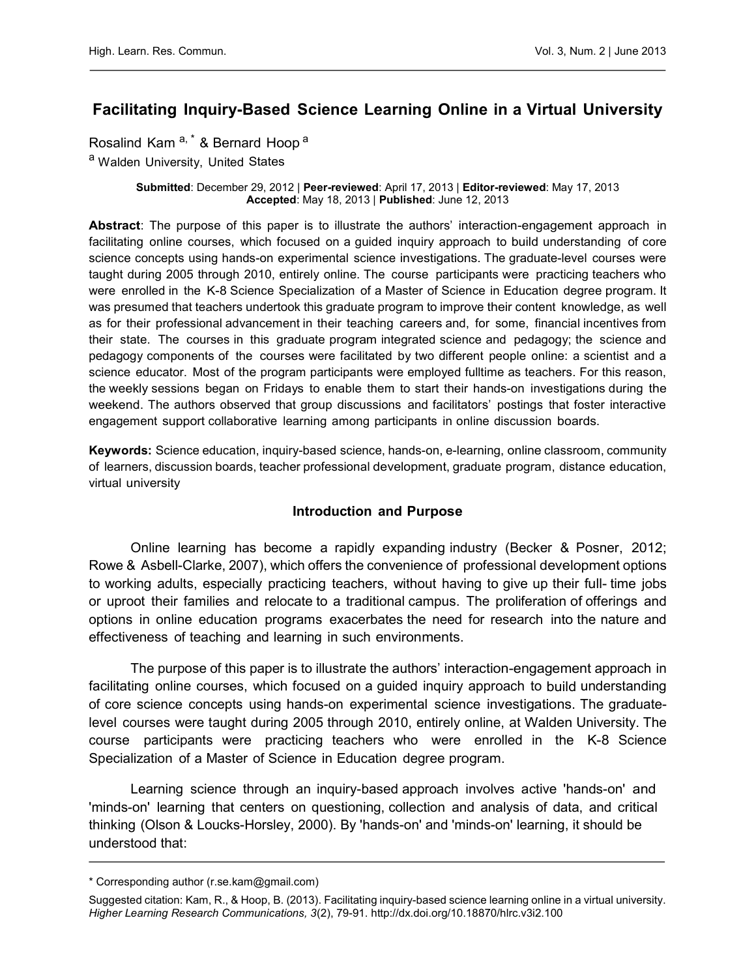# Facilitating Inquiry-Based Science Learning Online in a Virtual University

Rosalind Kam<sup>a,\*</sup> & Bernard Hoop<sup>a</sup>

a Walden University, United States

#### Submitted: December 29, 2012 | Peer-reviewed: April 17, 2013 | Editor-reviewed: May 17, 2013 Accepted: May 18, 2013 | Published: June 12, 2013

Abstract: The purpose of this paper is to illustrate the authors' interaction-engagement approach in facilitating online courses, which focused on a guided inquiry approach to build understanding of core science concepts using hands-on experimental science investigations. The graduate-level courses were taught during 2005 through 2010, entirely online. The course participants were practicing teachers who were enrolled in the K-8 Science Specialization of a Master of Science in Education degree program. It was presumed that teachers undertook this graduate program to improve their content knowledge, as well as for their professional advancement in their teaching careers and, for some, financial incentives from their state. The courses in this graduate program integrated science and pedagogy; the science and pedagogy components of the courses were facilitated by two different people online: a scientist and a science educator. Most of the program participants were employed fulltime as teachers. For this reason, the weekly sessions began on Fridays to enable them to start their hands-on investigations during the weekend. The authors observed that group discussions and facilitators' postings that foster interactive engagement support collaborative learning among participants in online discussion boards.

Keywords: Science education, inquiry-based science, hands-on, e-learning, online classroom, community of learners, discussion boards, teacher professional development, graduate program, distance education, virtual university

#### Introduction and Purpose

Online learning has become a rapidly expanding industry (Becker & Posner, 2012; Rowe & Asbell-Clarke, 2007), which offers the convenience of professional development options to working adults, especially practicing teachers, without having to give up their full- time jobs or uproot their families and relocate to a traditional campus. The proliferation of offerings and options in online education programs exacerbates the need for research into the nature and effectiveness of teaching and learning in such environments.

The purpose of this paper is to illustrate the authors' interaction-engagement approach in facilitating online courses, which focused on a guided inquiry approach to build understanding of core science concepts using hands-on experimental science investigations. The graduatelevel courses were taught during 2005 through 2010, entirely online, at Walden University. The course participants were practicing teachers who were enrolled in the K-8 Science Specialization of a Master of Science in Education degree program.

Learning science through an inquiry-based approach involves active 'hands-on' and 'minds-on' learning that centers on questioning, collection and analysis of data, and critical thinking (Olson & Loucks-Horsley, 2000). By 'hands-on' and 'minds-on' learning, it should be understood that:

<sup>\*</sup> Corresponding author (r.se.kam@gmail.com)

Suggested citation: Kam, R., & Hoop, B. (2013). Facilitating inquiry-based science learning online in a virtual university. Higher Learning Research Communications, 3(2), 79-91[. http://dx.doi.org/10.18870/hlrc.v3i2.100](http://dx.doi.org/10.18870/hlrc.v3i2.100)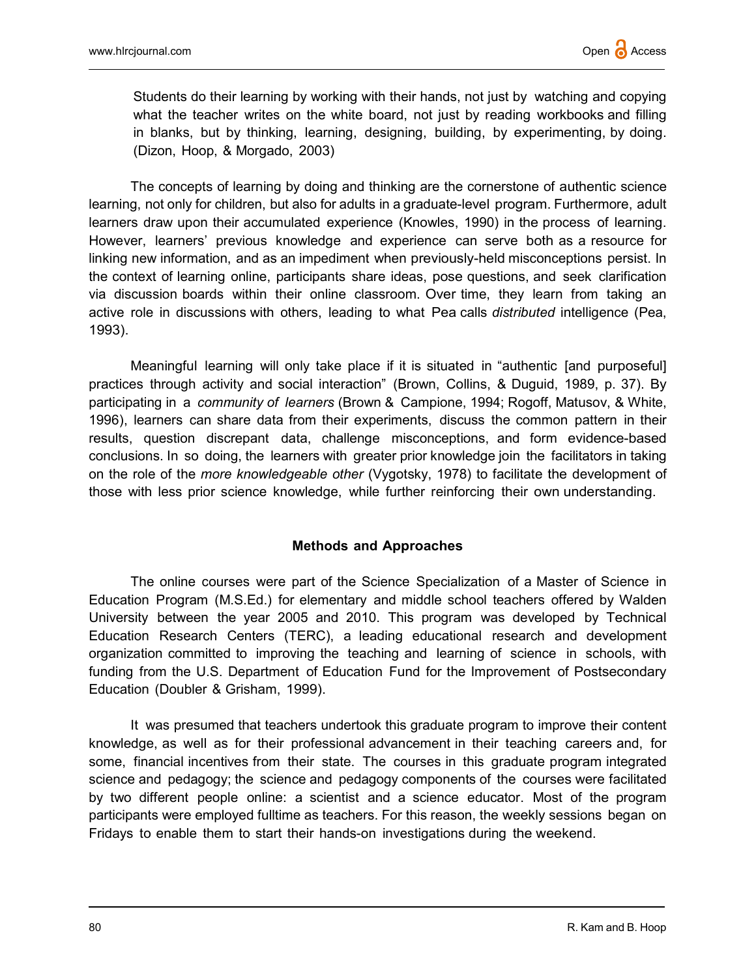Students do their learning by working with their hands, not just by watching and copying what the teacher writes on the white board, not just by reading workbooks and filling in blanks, but by thinking, learning, designing, building, by experimenting, by doing. (Dizon, Hoop, & Morgado, 2003)

The concepts of learning by doing and thinking are the cornerstone of authentic science learning, not only for children, but also for adults in a graduate-level program. Furthermore, adult learners draw upon their accumulated experience (Knowles, 1990) in the process of learning. However, learners' previous knowledge and experience can serve both as a resource for linking new information, and as an impediment when previously-held misconceptions persist. In the context of learning online, participants share ideas, pose questions, and seek clarification via discussion boards within their online classroom. Over time, they learn from taking an active role in discussions with others, leading to what Pea calls distributed intelligence (Pea, 1993).

Meaningful learning will only take place if it is situated in "authentic [and purposeful] practices through activity and social interaction" (Brown, Collins, & Duguid, 1989, p. 37). By participating in a community of learners (Brown & Campione, 1994; Rogoff, Matusov, & White, 1996), learners can share data from their experiments, discuss the common pattern in their results, question discrepant data, challenge misconceptions, and form evidence-based conclusions. In so doing, the learners with greater prior knowledge join the facilitators in taking on the role of the more knowledgeable other (Vygotsky, 1978) to facilitate the development of those with less prior science knowledge, while further reinforcing their own understanding.

#### Methods and Approaches

The online courses were part of the Science Specialization of a Master of Science in Education Program (M.S.Ed.) for elementary and middle school teachers offered by Walden University between the year 2005 and 2010. This program was developed by Technical Education Research Centers (TERC), a leading educational research and development organization committed to improving the teaching and learning of science in schools, with funding from the U.S. Department of Education Fund for the Improvement of Postsecondary Education (Doubler & Grisham, 1999).

It was presumed that teachers undertook this graduate program to improve their content knowledge, as well as for their professional advancement in their teaching careers and, for some, financial incentives from their state. The courses in this graduate program integrated science and pedagogy; the science and pedagogy components of the courses were facilitated by two different people online: a scientist and a science educator. Most of the program participants were employed fulltime as teachers. For this reason, the weekly sessions began on Fridays to enable them to start their hands-on investigations during the weekend.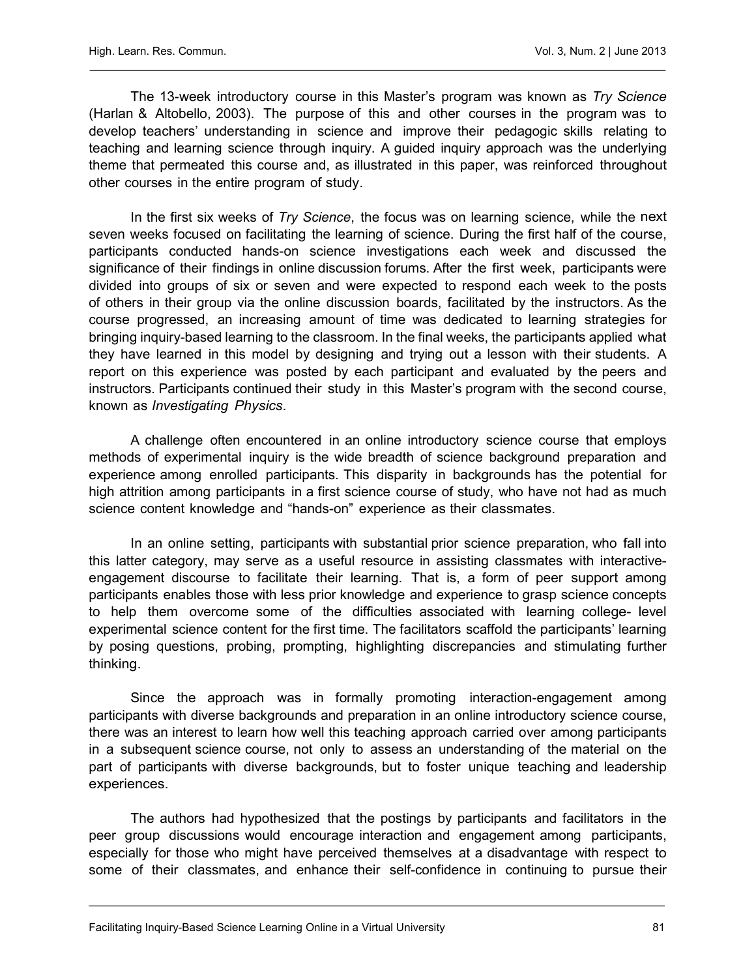The 13-week introductory course in this Master's program was known as Try Science (Harlan & Altobello, 2003). The purpose of this and other courses in the program was to develop teachers' understanding in science and improve their pedagogic skills relating to teaching and learning science through inquiry. A guided inquiry approach was the underlying theme that permeated this course and, as illustrated in this paper, was reinforced throughout other courses in the entire program of study.

In the first six weeks of Try Science, the focus was on learning science, while the next seven weeks focused on facilitating the learning of science. During the first half of the course, participants conducted hands-on science investigations each week and discussed the significance of their findings in online discussion forums. After the first week, participants were divided into groups of six or seven and were expected to respond each week to the posts of others in their group via the online discussion boards, facilitated by the instructors. As the course progressed, an increasing amount of time was dedicated to learning strategies for bringing inquiry-based learning to the classroom. In the final weeks, the participants applied what they have learned in this model by designing and trying out a lesson with their students. A report on this experience was posted by each participant and evaluated by the peers and instructors. Participants continued their study in this Master's program with the second course, known as Investigating Physics.

A challenge often encountered in an online introductory science course that employs methods of experimental inquiry is the wide breadth of science background preparation and experience among enrolled participants. This disparity in backgrounds has the potential for high attrition among participants in a first science course of study, who have not had as much science content knowledge and "hands-on" experience as their classmates.

In an online setting, participants with substantial prior science preparation, who fall into this latter category, may serve as a useful resource in assisting classmates with interactiveengagement discourse to facilitate their learning. That is, a form of peer support among participants enables those with less prior knowledge and experience to grasp science concepts to help them overcome some of the difficulties associated with learning college- level experimental science content for the first time. The facilitators scaffold the participants' learning by posing questions, probing, prompting, highlighting discrepancies and stimulating further thinking.

Since the approach was in formally promoting interaction-engagement among participants with diverse backgrounds and preparation in an online introductory science course, there was an interest to learn how well this teaching approach carried over among participants in a subsequent science course, not only to assess an understanding of the material on the part of participants with diverse backgrounds, but to foster unique teaching and leadership experiences.

The authors had hypothesized that the postings by participants and facilitators in the peer group discussions would encourage interaction and engagement among participants, especially for those who might have perceived themselves at a disadvantage with respect to some of their classmates, and enhance their self-confidence in continuing to pursue their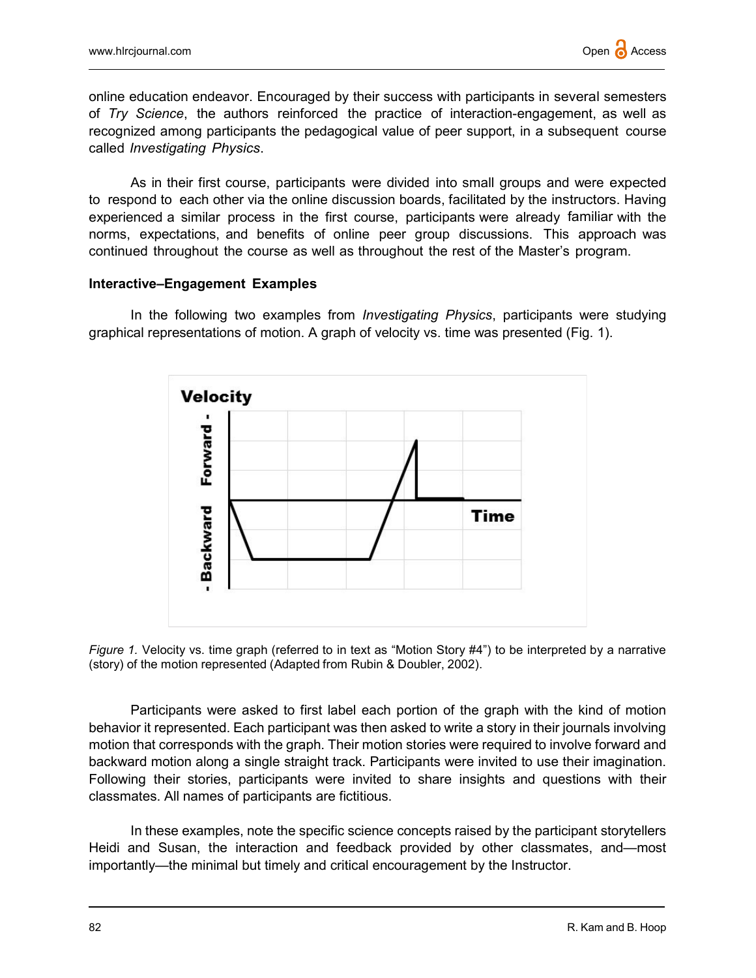online education endeavor. Encouraged by their success with participants in several semesters of Try Science, the authors reinforced the practice of interaction-engagement, as well as recognized among participants the pedagogical value of peer support, in a subsequent course called Investigating Physics.

As in their first course, participants were divided into small groups and were expected to respond to each other via the online discussion boards, facilitated by the instructors. Having experienced a similar process in the first course, participants were already familiar with the norms, expectations, and benefits of online peer group discussions. This approach was continued throughout the course as well as throughout the rest of the Master's program.

#### Interactive–Engagement Examples

In the following two examples from *Investigating Physics*, participants were studying graphical representations of motion. A graph of velocity vs. time was presented (Fig. 1).





Participants were asked to first label each portion of the graph with the kind of motion behavior it represented. Each participant was then asked to write a story in their journals involving motion that corresponds with the graph. Their motion stories were required to involve forward and backward motion along a single straight track. Participants were invited to use their imagination. Following their stories, participants were invited to share insights and questions with their classmates. All names of participants are fictitious.

In these examples, note the specific science concepts raised by the participant storytellers Heidi and Susan, the interaction and feedback provided by other classmates, and—most importantly—the minimal but timely and critical encouragement by the Instructor.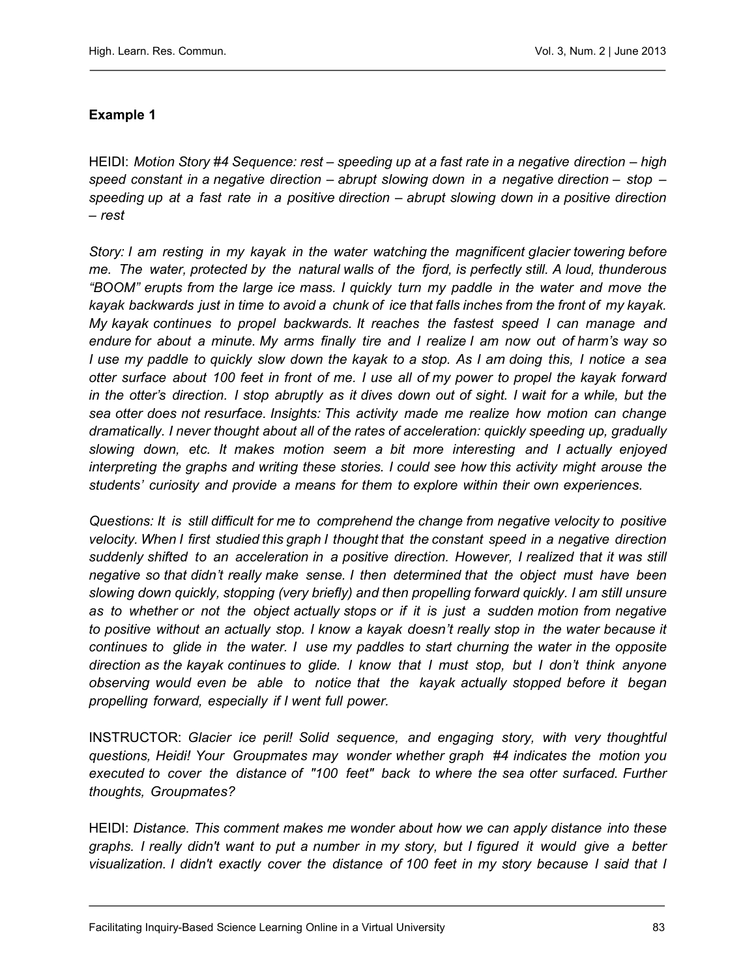# Example 1

HEIDI: Motion Story #4 Sequence: rest – speeding up at a fast rate in a negative direction – high speed constant in a negative direction – abrupt slowing down in a negative direction – stop – speeding up at a fast rate in a positive direction – abrupt slowing down in a positive direction – rest

Story: I am resting in my kayak in the water watching the magnificent glacier towering before me. The water, protected by the natural walls of the fjord, is perfectly still. A loud, thunderous "BOOM" erupts from the large ice mass. I quickly turn my paddle in the water and move the kayak backwards just in time to avoid a chunk of ice that falls inches from the front of my kayak. My kayak continues to propel backwards. It reaches the fastest speed I can manage and endure for about a minute. My arms finally tire and I realize I am now out of harm's way so I use my paddle to quickly slow down the kayak to a stop. As I am doing this, I notice a sea otter surface about 100 feet in front of me. I use all of my power to propel the kayak forward in the otter's direction. I stop abruptly as it dives down out of sight. I wait for a while, but the sea otter does not resurface. Insights: This activity made me realize how motion can change dramatically. I never thought about all of the rates of acceleration: quickly speeding up, gradually slowing down, etc. It makes motion seem a bit more interesting and I actually enjoyed interpreting the graphs and writing these stories. I could see how this activity might arouse the students' curiosity and provide a means for them to explore within their own experiences.

Questions: It is still difficult for me to comprehend the change from negative velocity to positive velocity. When I first studied this graph I thought that the constant speed in a negative direction suddenly shifted to an acceleration in a positive direction. However, I realized that it was still negative so that didn't really make sense. I then determined that the object must have been slowing down quickly, stopping (very briefly) and then propelling forward quickly. I am still unsure as to whether or not the object actually stops or if it is just a sudden motion from negative to positive without an actually stop. I know a kayak doesn't really stop in the water because it continues to glide in the water. I use my paddles to start churning the water in the opposite direction as the kayak continues to glide. I know that I must stop, but I don't think anyone observing would even be able to notice that the kayak actually stopped before it began propelling forward, especially if I went full power.

INSTRUCTOR: Glacier ice peril! Solid sequence, and engaging story, with very thoughtful questions, Heidi! Your Groupmates may wonder whether graph #4 indicates the motion you executed to cover the distance of "100 feet" back to where the sea otter surfaced. Further thoughts, Groupmates?

HEIDI: Distance. This comment makes me wonder about how we can apply distance into these graphs. I really didn't want to put a number in my story, but I figured it would give a better visualization. I didn't exactly cover the distance of 100 feet in my story because I said that I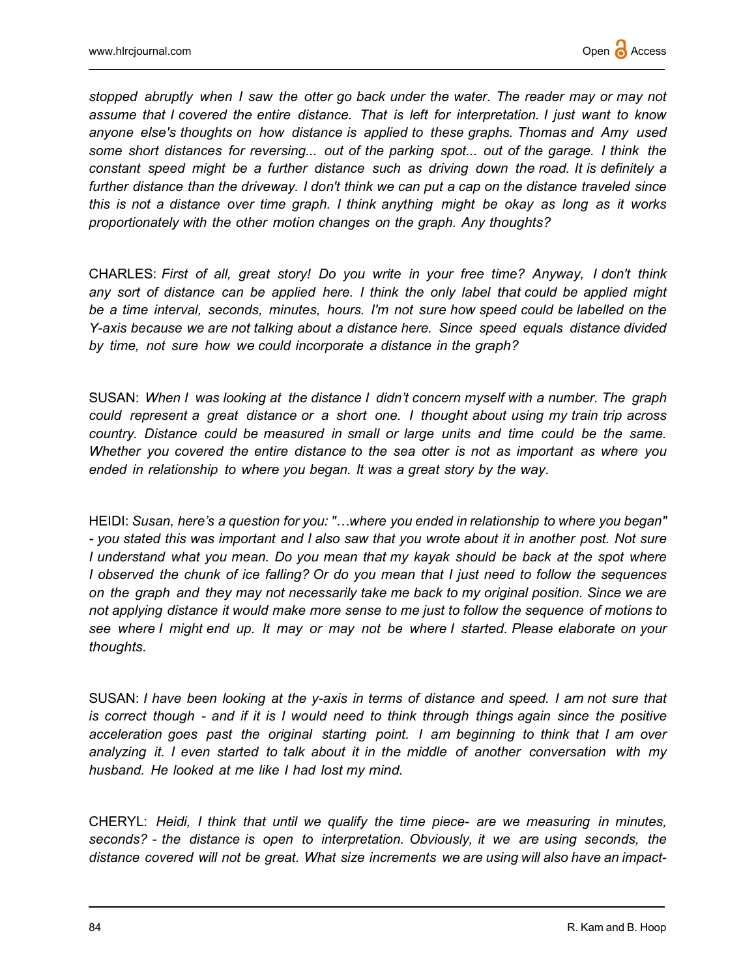stopped abruptly when I saw the otter go back under the water. The reader may or may not assume that I covered the entire distance. That is left for interpretation. I just want to know anyone else's thoughts on how distance is applied to these graphs. Thomas and Amy used some short distances for reversing... out of the parking spot... out of the garage. I think the constant speed might be a further distance such as driving down the road. It is definitely a further distance than the driveway. I don't think we can put a cap on the distance traveled since this is not a distance over time graph. I think anything might be okay as long as it works proportionately with the other motion changes on the graph. Any thoughts?

CHARLES: First of all, great story! Do you write in your free time? Anyway, I don't think any sort of distance can be applied here. I think the only label that could be applied might be a time interval, seconds, minutes, hours. I'm not sure how speed could be labelled on the Y-axis because we are not talking about a distance here. Since speed equals distance divided by time, not sure how we could incorporate a distance in the graph?

SUSAN: When I was looking at the distance I didn't concern myself with a number. The graph could represent a great distance or a short one. I thought about using my train trip across country. Distance could be measured in small or large units and time could be the same. Whether you covered the entire distance to the sea otter is not as important as where you ended in relationship to where you began. It was a great story by the way.

HEIDI: Susan, here's a question for you: "...where you ended in relationship to where you began" - you stated this was important and I also saw that you wrote about it in another post. Not sure I understand what you mean. Do you mean that my kayak should be back at the spot where I observed the chunk of ice falling? Or do you mean that I just need to follow the sequences on the graph and they may not necessarily take me back to my original position. Since we are not applying distance it would make more sense to me just to follow the sequence of motions to see where I might end up. It may or may not be where I started. Please elaborate on your thoughts.

SUSAN: I have been looking at the y-axis in terms of distance and speed. I am not sure that is correct though - and if it is I would need to think through things again since the positive acceleration goes past the original starting point. I am beginning to think that I am over analyzing it. I even started to talk about it in the middle of another conversation with my husband. He looked at me like I had lost my mind.

CHERYL: Heidi, I think that until we qualify the time piece- are we measuring in minutes, seconds? - the distance is open to interpretation. Obviously, it we are using seconds, the distance covered will not be great. What size increments we are using will also have an impact-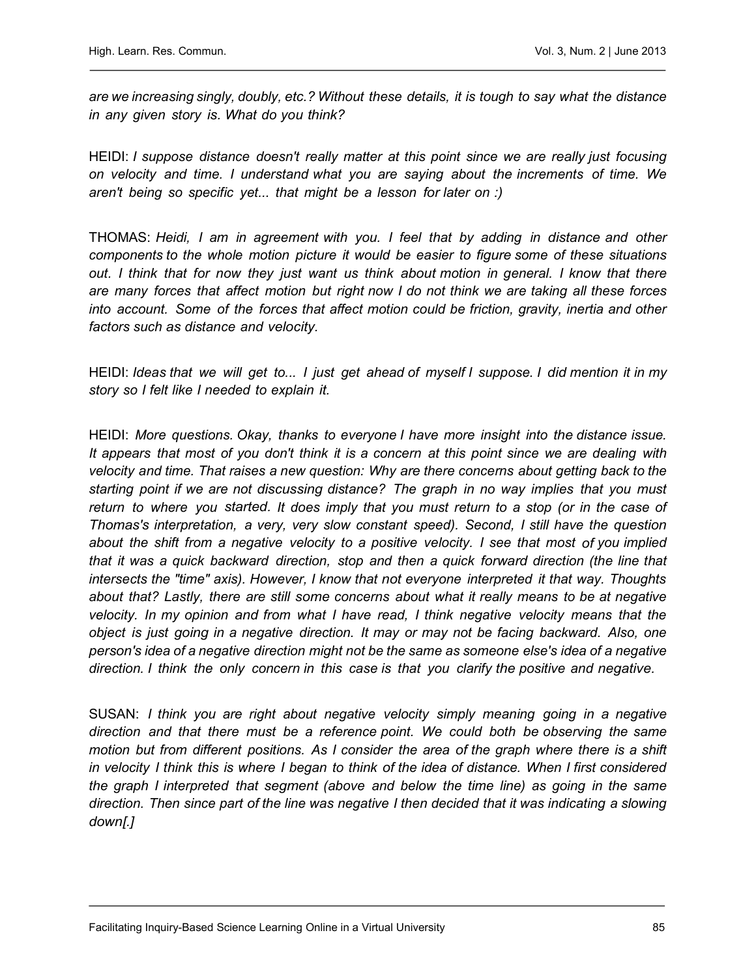are we increasing singly, doubly, etc.? Without these details, it is tough to say what the distance in any given story is. What do you think?

HEIDI: I suppose distance doesn't really matter at this point since we are really just focusing on velocity and time. I understand what you are saying about the increments of time. We aren't being so specific yet... that might be a lesson for later on :)

THOMAS: Heidi, I am in agreement with you. I feel that by adding in distance and other components to the whole motion picture it would be easier to figure some of these situations out. I think that for now they just want us think about motion in general. I know that there are many forces that affect motion but right now I do not think we are taking all these forces into account. Some of the forces that affect motion could be friction, gravity, inertia and other factors such as distance and velocity.

HEIDI: Ideas that we will get to... I just get ahead of myself I suppose. I did mention it in my story so I felt like I needed to explain it.

HEIDI: More questions. Okay, thanks to everyone I have more insight into the distance issue. It appears that most of you don't think it is a concern at this point since we are dealing with velocity and time. That raises a new question: Why are there concerns about getting back to the starting point if we are not discussing distance? The graph in no way implies that you must return to where you started. It does imply that you must return to a stop (or in the case of Thomas's interpretation, a very, very slow constant speed). Second, I still have the question about the shift from a negative velocity to a positive velocity. I see that most of you implied that it was a quick backward direction, stop and then a quick forward direction (the line that intersects the "time" axis). However, I know that not everyone interpreted it that way. Thoughts about that? Lastly, there are still some concerns about what it really means to be at negative velocity. In my opinion and from what I have read, I think negative velocity means that the object is just going in a negative direction. It may or may not be facing backward. Also, one person's idea of a negative direction might not be the same as someone else's idea of a negative direction. I think the only concern in this case is that you clarify the positive and negative.

SUSAN: I think you are right about negative velocity simply meaning going in a negative direction and that there must be a reference point. We could both be observing the same motion but from different positions. As I consider the area of the graph where there is a shift in velocity I think this is where I began to think of the idea of distance. When I first considered the graph I interpreted that segment (above and below the time line) as going in the same direction. Then since part of the line was negative I then decided that it was indicating a slowing down[.]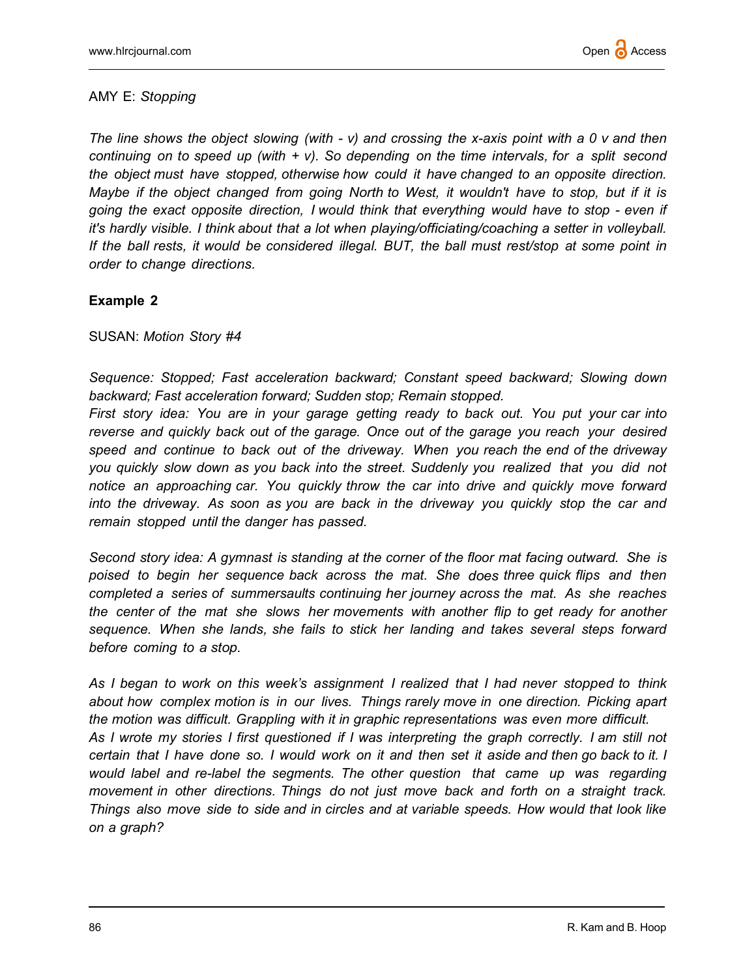### AMY E: Stopping

The line shows the object slowing (with  $- v$ ) and crossing the x-axis point with a 0 v and then continuing on to speed up (with  $+ v$ ). So depending on the time intervals, for a split second the object must have stopped, otherwise how could it have changed to an opposite direction. Maybe if the object changed from going North to West, it wouldn't have to stop, but if it is going the exact opposite direction, I would think that everything would have to stop - even if it's hardly visible. I think about that a lot when playing/officiating/coaching a setter in volleyball. If the ball rests, it would be considered illegal. BUT, the ball must rest/stop at some point in order to change directions.

# Example 2

SUSAN: Motion Story #4

Sequence: Stopped; Fast acceleration backward; Constant speed backward; Slowing down backward; Fast acceleration forward; Sudden stop; Remain stopped.

First story idea: You are in your garage getting ready to back out. You put your car into reverse and quickly back out of the garage. Once out of the garage you reach your desired speed and continue to back out of the driveway. When you reach the end of the driveway you quickly slow down as you back into the street. Suddenly you realized that you did not notice an approaching car. You quickly throw the car into drive and quickly move forward into the driveway. As soon as you are back in the driveway you quickly stop the car and remain stopped until the danger has passed.

Second story idea: A gymnast is standing at the corner of the floor mat facing outward. She is poised to begin her sequence back across the mat. She does three quick flips and then completed a series of summersaults continuing her journey across the mat. As she reaches the center of the mat she slows her movements with another flip to get ready for another sequence. When she lands, she fails to stick her landing and takes several steps forward before coming to a stop.

As I began to work on this week's assignment I realized that I had never stopped to think about how complex motion is in our lives. Things rarely move in one direction. Picking apart the motion was difficult. Grappling with it in graphic representations was even more difficult. As I wrote my stories I first questioned if I was interpreting the graph correctly. I am still not certain that I have done so. I would work on it and then set it aside and then go back to it. I would label and re-label the segments. The other question that came up was regarding movement in other directions. Things do not just move back and forth on a straight track. Things also move side to side and in circles and at variable speeds. How would that look like on a graph?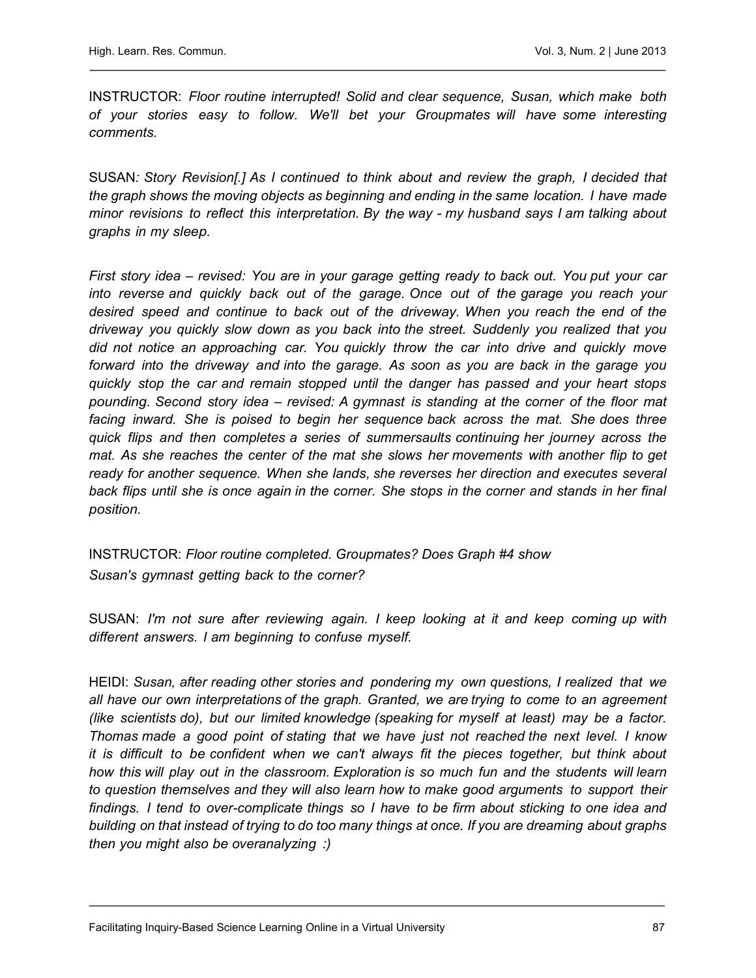INSTRUCTOR: Floor routine interrupted! Solid and clear sequence, Susan, which make both of your stories easy to follow. We'll bet your Groupmates will have some interesting comments.

SUSAN: Story Revision[.] As I continued to think about and review the graph, I decided that the graph shows the moving objects as beginning and ending in the same location. I have made minor revisions to reflect this interpretation. By the way - my husband says I am talking about graphs in my sleep.

First story idea – revised: You are in your garage getting ready to back out. You put your car into reverse and quickly back out of the garage. Once out of the garage you reach your desired speed and continue to back out of the driveway. When you reach the end of the driveway you quickly slow down as you back into the street. Suddenly you realized that you did not notice an approaching car. You quickly throw the car into drive and quickly move forward into the driveway and into the garage. As soon as you are back in the garage you quickly stop the car and remain stopped until the danger has passed and your heart stops pounding. Second story idea – revised: A gymnast is standing at the corner of the floor mat facing inward. She is poised to begin her sequence back across the mat. She does three quick flips and then completes a series of summersaults continuing her journey across the mat. As she reaches the center of the mat she slows her movements with another flip to get ready for another sequence. When she lands, she reverses her direction and executes several back flips until she is once again in the corner. She stops in the corner and stands in her final position.

INSTRUCTOR: Floor routine completed. Groupmates? Does Graph #4 show Susan's gymnast getting back to the corner?

SUSAN: I'm not sure after reviewing again. I keep looking at it and keep coming up with different answers. I am beginning to confuse myself.

HEIDI: Susan, after reading other stories and pondering my own questions, I realized that we all have our own interpretations of the graph. Granted, we are trying to come to an agreement (like scientists do), but our limited knowledge (speaking for myself at least) may be a factor. Thomas made a good point of stating that we have just not reached the next level. I know it is difficult to be confident when we can't always fit the pieces together, but think about how this will play out in the classroom. Exploration is so much fun and the students will learn to question themselves and they will also learn how to make good arguments to support their findings. I tend to over-complicate things so I have to be firm about sticking to one idea and building on that instead of trying to do too many things at once. If you are dreaming about graphs then you might also be overanalyzing :)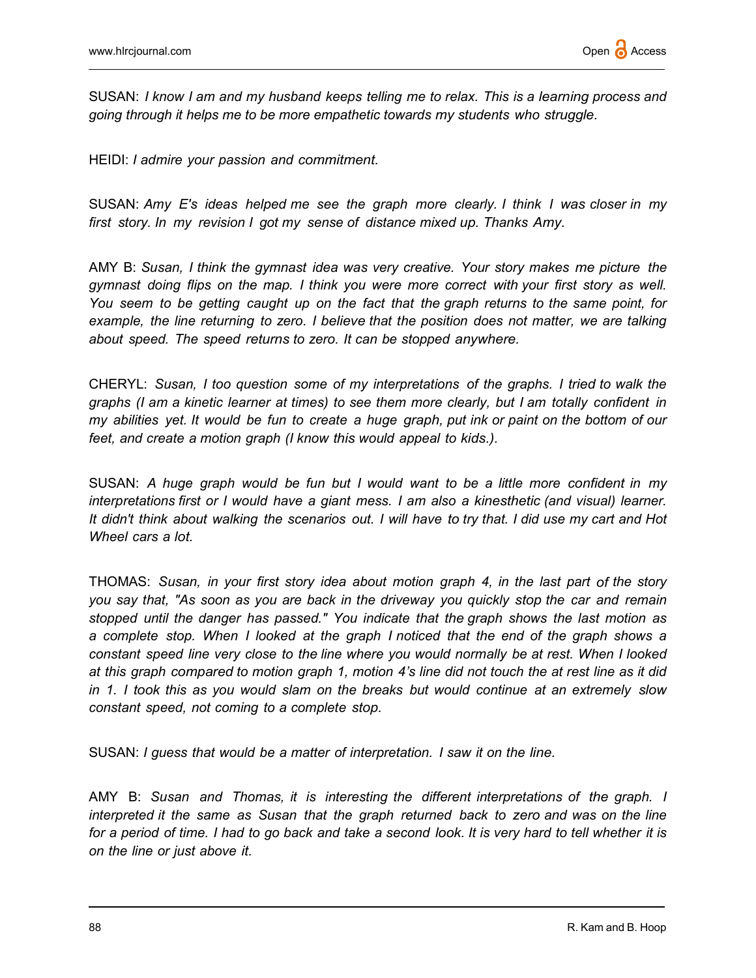SUSAN: I know I am and my husband keeps telling me to relax. This is a learning process and going through it helps me to be more empathetic towards my students who struggle.

HEIDI: I admire your passion and commitment.

SUSAN: Amy E's ideas helped me see the graph more clearly. I think I was closer in my first story. In my revision I got my sense of distance mixed up. Thanks Amy.

AMY B: Susan, I think the gymnast idea was very creative. Your story makes me picture the gymnast doing flips on the map. I think you were more correct with your first story as well. You seem to be getting caught up on the fact that the graph returns to the same point, for example, the line returning to zero. I believe that the position does not matter, we are talking about speed. The speed returns to zero. It can be stopped anywhere.

CHERYL: Susan, I too question some of my interpretations of the graphs. I tried to walk the graphs (I am a kinetic learner at times) to see them more clearly, but I am totally confident in my abilities yet. It would be fun to create a huge graph, put ink or paint on the bottom of our feet, and create a motion graph (I know this would appeal to kids.).

SUSAN: A huge graph would be fun but I would want to be a little more confident in my interpretations first or I would have a giant mess. I am also a kinesthetic (and visual) learner. It didn't think about walking the scenarios out. I will have to try that. I did use my cart and Hot Wheel cars a lot.

THOMAS: Susan, in your first story idea about motion graph 4, in the last part of the story you say that, "As soon as you are back in the driveway you quickly stop the car and remain stopped until the danger has passed." You indicate that the graph shows the last motion as a complete stop. When I looked at the graph I noticed that the end of the graph shows a constant speed line very close to the line where you would normally be at rest. When I looked at this graph compared to motion graph 1, motion 4's line did not touch the at rest line as it did in 1. I took this as you would slam on the breaks but would continue at an extremely slow constant speed, not coming to a complete stop.

SUSAN: I guess that would be a matter of interpretation. I saw it on the line.

AMY B: Susan and Thomas, it is interesting the different interpretations of the graph. I interpreted it the same as Susan that the graph returned back to zero and was on the line for a period of time. I had to go back and take a second look. It is very hard to tell whether it is on the line or just above it.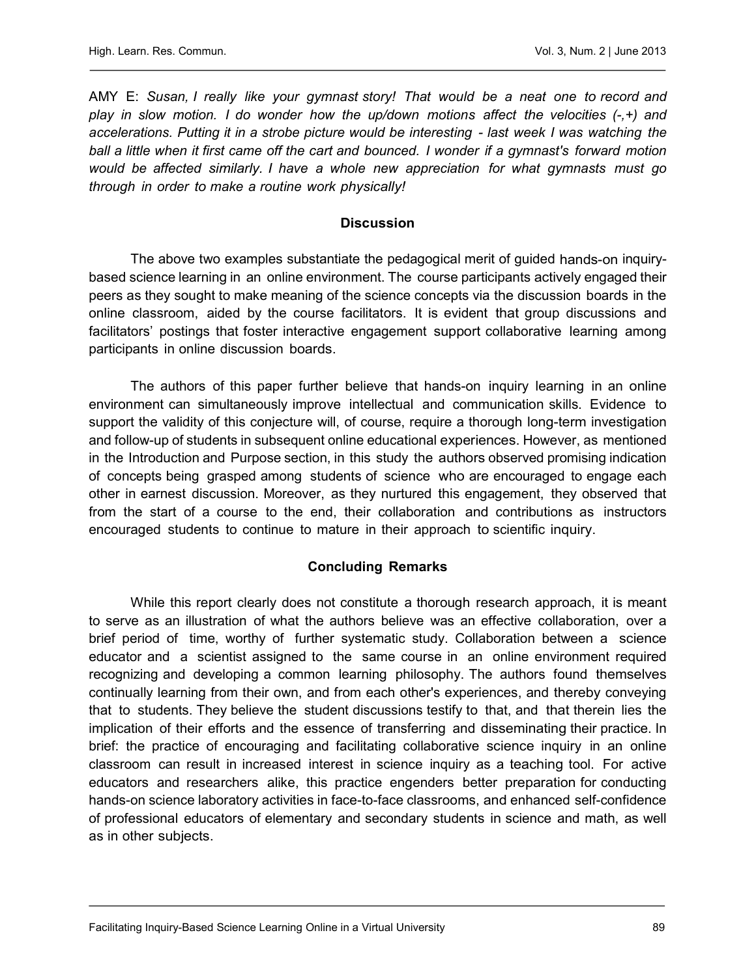AMY E: Susan, I really like your gymnast story! That would be a neat one to record and play in slow motion. I do wonder how the up/down motions affect the velocities  $(-,+)$  and accelerations. Putting it in a strobe picture would be interesting - last week I was watching the ball a little when it first came off the cart and bounced. I wonder if a gymnast's forward motion would be affected similarly. I have a whole new appreciation for what gymnasts must go through in order to make a routine work physically!

# **Discussion**

The above two examples substantiate the pedagogical merit of guided hands-on inquirybased science learning in an online environment. The course participants actively engaged their peers as they sought to make meaning of the science concepts via the discussion boards in the online classroom, aided by the course facilitators. It is evident that group discussions and facilitators' postings that foster interactive engagement support collaborative learning among participants in online discussion boards.

The authors of this paper further believe that hands-on inquiry learning in an online environment can simultaneously improve intellectual and communication skills. Evidence to support the validity of this conjecture will, of course, require a thorough long-term investigation and follow-up of students in subsequent online educational experiences. However, as mentioned in the Introduction and Purpose section, in this study the authors observed promising indication of concepts being grasped among students of science who are encouraged to engage each other in earnest discussion. Moreover, as they nurtured this engagement, they observed that from the start of a course to the end, their collaboration and contributions as instructors encouraged students to continue to mature in their approach to scientific inquiry.

# Concluding Remarks

While this report clearly does not constitute a thorough research approach, it is meant to serve as an illustration of what the authors believe was an effective collaboration, over a brief period of time, worthy of further systematic study. Collaboration between a science educator and a scientist assigned to the same course in an online environment required recognizing and developing a common learning philosophy. The authors found themselves continually learning from their own, and from each other's experiences, and thereby conveying that to students. They believe the student discussions testify to that, and that therein lies the implication of their efforts and the essence of transferring and disseminating their practice. In brief: the practice of encouraging and facilitating collaborative science inquiry in an online classroom can result in increased interest in science inquiry as a teaching tool. For active educators and researchers alike, this practice engenders better preparation for conducting hands-on science laboratory activities in face-to-face classrooms, and enhanced self-confidence of professional educators of elementary and secondary students in science and math, as well as in other subjects.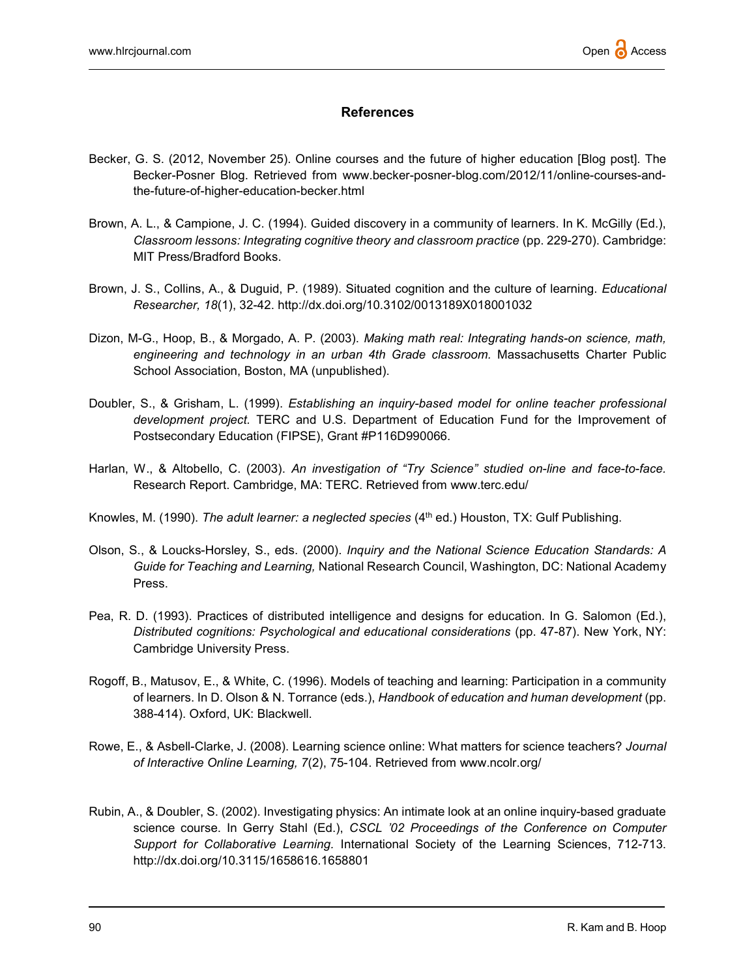# References

- Becker, G. S. (2012, November 25). Online courses and the future of higher education [Blog post]. The Becker-Posner Blog. Retrieved from www.becker-posner-blog.com/2012/11/online-courses-andthe-future-of-higher-education-becker.html
- Brown, A. L., & Campione, J. C. (1994). Guided discovery in a community of learners. In K. McGilly (Ed.), Classroom lessons: Integrating cognitive theory and classroom practice (pp. 229-270). Cambridge: MIT Press/Bradford Books.
- Brown, J. S., Collins, A., & Duguid, P. (1989). Situated cognition and the culture of learning. Educational Researcher, 18(1), 32-42. http://dx.doi.org/10.3102/0013189X018001032
- Dizon, M-G., Hoop, B., & Morgado, A. P. (2003). Making math real: Integrating hands-on science, math, engineering and technology in an urban 4th Grade classroom. Massachusetts Charter Public School Association, Boston, MA (unpublished).
- Doubler, S., & Grisham, L. (1999). Establishing an inquiry-based model for online teacher professional development project. TERC and U.S. Department of Education Fund for the Improvement of Postsecondary Education (FIPSE), Grant #P116D990066.
- Harlan, W., & Altobello, C. (2003). An investigation of "Try Science" studied on-line and face-to-face. Research Report. Cambridge, MA: TERC. Retrieved from www.terc.edu/
- Knowles, M. (1990). The adult learner: a neglected species (4<sup>th</sup> ed.) Houston, TX: Gulf Publishing.
- Olson, S., & Loucks-Horsley, S., eds. (2000). Inquiry and the National Science Education Standards: A Guide for Teaching and Learning, National Research Council, Washington, DC: National Academy Press.
- Pea, R. D. (1993). Practices of distributed intelligence and designs for education. In G. Salomon (Ed.), Distributed cognitions: Psychological and educational considerations (pp. 47-87). New York, NY: Cambridge University Press.
- Rogoff, B., Matusov, E., & White, C. (1996). Models of teaching and learning: Participation in a community of learners. In D. Olson & N. Torrance (eds.), Handbook of education and human development (pp. 388-414). Oxford, UK: Blackwell.
- Rowe, E., & Asbell-Clarke, J. (2008). Learning science online: What matters for science teachers? Journal of Interactive Online Learning, 7(2), 75-104. Retrieved from www.ncolr.org/
- Rubin, A., & Doubler, S. (2002). Investigating physics: An intimate look at an online inquiry-based graduate science course. In Gerry Stahl (Ed.), CSCL '02 Proceedings of the Conference on Computer Support for Collaborative Learning. International Society of the Learning Sciences, 712-713. http://dx.doi.org/10.3115/1658616.1658801